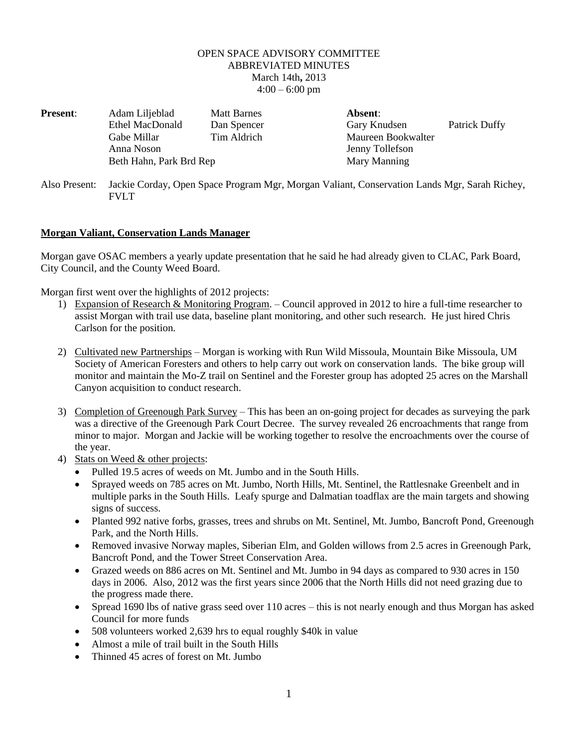## OPEN SPACE ADVISORY COMMITTEE ABBREVIATED MINUTES March 14th**,** 2013  $4:00 - 6:00$  pm

| <b>Present:</b> | Adam Liljeblad                                                                                       | <b>Matt Barnes</b> | Absent:            |                      |
|-----------------|------------------------------------------------------------------------------------------------------|--------------------|--------------------|----------------------|
|                 | <b>Ethel MacDonald</b>                                                                               | Dan Spencer        | Gary Knudsen       | <b>Patrick Duffy</b> |
|                 | Gabe Millar                                                                                          | Tim Aldrich        | Maureen Bookwalter |                      |
|                 | Anna Noson                                                                                           |                    | Jenny Tollefson    |                      |
|                 | Beth Hahn, Park Brd Rep                                                                              |                    | Mary Manning       |                      |
| Also Present:   | Jackie Corday, Open Space Program Mgr, Morgan Valiant, Conservation Lands Mgr, Sarah Richey,<br>FVLT |                    |                    |                      |

## **Morgan Valiant, Conservation Lands Manager**

Morgan gave OSAC members a yearly update presentation that he said he had already given to CLAC, Park Board, City Council, and the County Weed Board.

Morgan first went over the highlights of 2012 projects:

- 1) Expansion of Research & Monitoring Program. Council approved in 2012 to hire a full-time researcher to assist Morgan with trail use data, baseline plant monitoring, and other such research. He just hired Chris Carlson for the position.
- 2) Cultivated new Partnerships Morgan is working with Run Wild Missoula, Mountain Bike Missoula, UM Society of American Foresters and others to help carry out work on conservation lands. The bike group will monitor and maintain the Mo-Z trail on Sentinel and the Forester group has adopted 25 acres on the Marshall Canyon acquisition to conduct research.
- 3) Completion of Greenough Park Survey This has been an on-going project for decades as surveying the park was a directive of the Greenough Park Court Decree. The survey revealed 26 encroachments that range from minor to major. Morgan and Jackie will be working together to resolve the encroachments over the course of the year.
- 4) Stats on Weed & other projects:
	- Pulled 19.5 acres of weeds on Mt. Jumbo and in the South Hills.
	- Sprayed weeds on 785 acres on Mt. Jumbo, North Hills, Mt. Sentinel, the Rattlesnake Greenbelt and in multiple parks in the South Hills. Leafy spurge and Dalmatian toadflax are the main targets and showing signs of success.
	- Planted 992 native forbs, grasses, trees and shrubs on Mt. Sentinel, Mt. Jumbo, Bancroft Pond, Greenough Park, and the North Hills.
	- Removed invasive Norway maples, Siberian Elm, and Golden willows from 2.5 acres in Greenough Park, Bancroft Pond, and the Tower Street Conservation Area.
	- Grazed weeds on 886 acres on Mt. Sentinel and Mt. Jumbo in 94 days as compared to 930 acres in 150 days in 2006. Also, 2012 was the first years since 2006 that the North Hills did not need grazing due to the progress made there.
	- Spread 1690 lbs of native grass seed over 110 acres this is not nearly enough and thus Morgan has asked Council for more funds
	- 508 volunteers worked 2,639 hrs to equal roughly \$40k in value
	- Almost a mile of trail built in the South Hills
	- Thinned 45 acres of forest on Mt. Jumbo